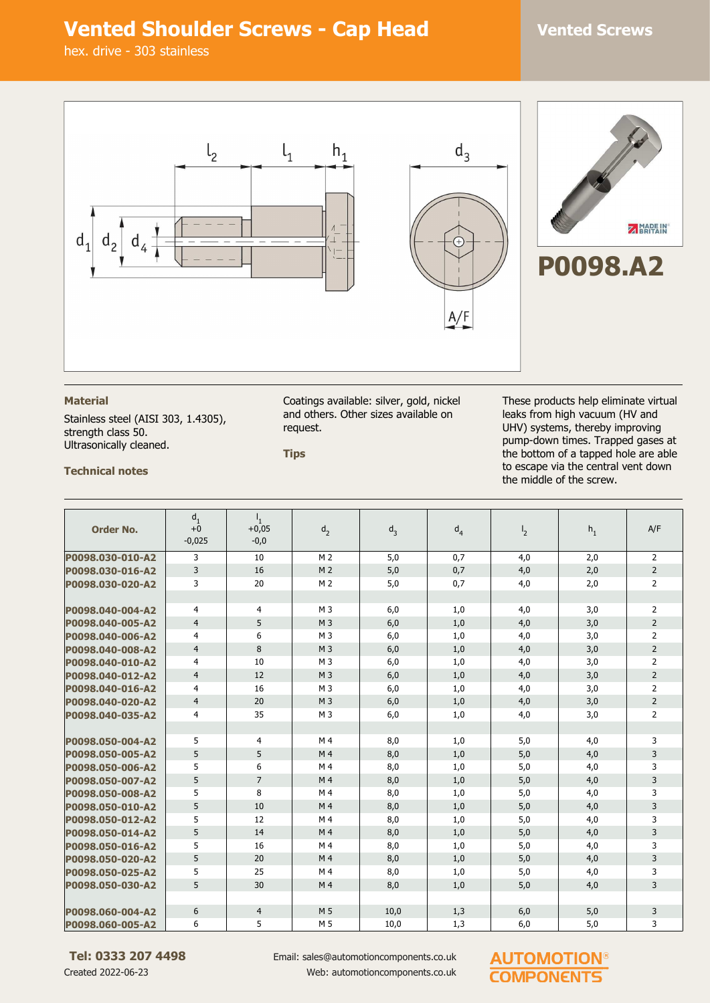## **Vented Shoulder Screws - Cap Head Vented Screws**

hex. drive - 303 stainless



### **Material**

Stainless steel (AISI 303, 1.4305), strength class 50. Ultrasonically cleaned.

Coatings available: silver, gold, nickel and others. Other sizes available on request.

**Tips**

These products help eliminate virtual leaks from high vacuum (HV and UHV) systems, thereby improving pump-down times. Trapped gases at the bottom of a tapped hole are able to escape via the central vent down the middle of the screw.

**Technical notes**

| <b>Order No.</b> | $d_1$<br>$+0$  | $+0,05$        | d <sub>2</sub> | $d_3$ | d <sub>4</sub> | $\frac{1}{2}$ | $h_1$ | A/F            |
|------------------|----------------|----------------|----------------|-------|----------------|---------------|-------|----------------|
|                  | $-0,025$       | $-0,0$         |                |       |                |               |       |                |
| P0098.030-010-A2 | 3              | 10             | M <sub>2</sub> | 5,0   | 0,7            | 4,0           | 2,0   | 2              |
| P0098.030-016-A2 | 3              | 16             | M <sub>2</sub> | 5,0   | 0,7            | 4,0           | 2,0   | $\overline{2}$ |
| P0098.030-020-A2 | 3              | 20             | M <sub>2</sub> | 5,0   | 0,7            | 4,0           | 2,0   | $\overline{2}$ |
|                  |                |                |                |       |                |               |       |                |
| P0098.040-004-A2 | 4              | 4              | M <sub>3</sub> | 6,0   | 1,0            | 4,0           | 3,0   | $\overline{2}$ |
| P0098.040-005-A2 | $\overline{4}$ | 5              | M <sub>3</sub> | 6,0   | 1,0            | 4,0           | 3,0   | $\overline{2}$ |
| P0098.040-006-A2 | $\overline{4}$ | 6              | M <sub>3</sub> | 6,0   | 1,0            | 4,0           | 3,0   | 2              |
| P0098.040-008-A2 | $\overline{4}$ | 8              | M <sub>3</sub> | 6,0   | 1,0            | 4,0           | 3,0   | $\overline{2}$ |
| P0098.040-010-A2 | 4              | 10             | M <sub>3</sub> | 6,0   | 1,0            | 4,0           | 3,0   | $\overline{2}$ |
| P0098.040-012-A2 | $\overline{4}$ | 12             | M <sub>3</sub> | 6,0   | 1,0            | 4,0           | 3,0   | $\overline{2}$ |
| P0098.040-016-A2 | 4              | 16             | M <sub>3</sub> | 6,0   | 1,0            | 4,0           | 3,0   | 2              |
| P0098.040-020-A2 | $\overline{4}$ | 20             | M <sub>3</sub> | 6,0   | 1,0            | 4,0           | 3,0   | $\overline{2}$ |
| P0098.040-035-A2 | $\overline{4}$ | 35             | M <sub>3</sub> | 6,0   | 1,0            | 4,0           | 3,0   | $\overline{2}$ |
|                  |                |                |                |       |                |               |       |                |
| P0098.050-004-A2 | 5              | 4              | M <sub>4</sub> | 8,0   | 1,0            | 5,0           | 4,0   | 3              |
| P0098.050-005-A2 | 5              | 5              | M <sub>4</sub> | 8,0   | 1,0            | 5,0           | 4,0   | 3              |
| P0098.050-006-A2 | 5              | 6              | M4             | 8,0   | 1,0            | 5,0           | 4,0   | 3              |
| P0098.050-007-A2 | 5              | $\overline{7}$ | M4             | 8,0   | 1,0            | 5,0           | 4,0   | 3              |
| P0098.050-008-A2 | 5              | 8              | M 4            | 8,0   | 1,0            | 5,0           | 4,0   | 3              |
| P0098.050-010-A2 | 5              | 10             | M <sub>4</sub> | 8,0   | 1,0            | 5,0           | 4,0   | 3              |
| P0098.050-012-A2 | 5              | 12             | M <sub>4</sub> | 8,0   | 1,0            | 5,0           | 4,0   | 3              |
| P0098.050-014-A2 | 5              | 14             | M <sub>4</sub> | 8,0   | 1,0            | 5,0           | 4,0   | 3              |
| P0098.050-016-A2 | 5              | 16             | M 4            | 8,0   | 1,0            | 5,0           | 4,0   | 3              |
| P0098.050-020-A2 | 5              | 20             | M <sub>4</sub> | 8,0   | 1,0            | 5,0           | 4,0   | 3              |
| P0098.050-025-A2 | 5              | 25             | M <sub>4</sub> | 8,0   | 1,0            | 5,0           | 4,0   | 3              |
| P0098.050-030-A2 | 5              | 30             | M <sub>4</sub> | 8,0   | 1,0            | 5.0           | 4,0   | 3              |
|                  |                |                |                |       |                |               |       |                |
| P0098.060-004-A2 | 6              | $\overline{4}$ | M 5            | 10,0  | 1,3            | 6,0           | 5,0   | 3              |
| P0098.060-005-A2 | 6              | 5              | M 5            | 10,0  | 1,3            | 6,0           | 5,0   | 3              |

**Tel: 0333 207 4498** Created 2022-06-23

Email: sales@automotioncomponents.co.uk Web: automotioncomponents.co.uk

### **AUTOMOT COMPONENT**